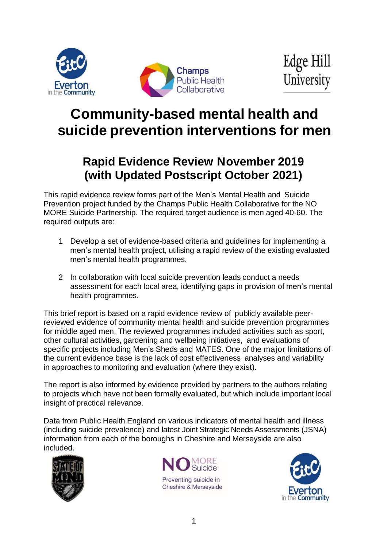



# **Community-based mental health and suicide prevention interventions for men**

## **Rapid Evidence Review November 2019 (with Updated Postscript October 2021)**

This rapid evidence review forms part of the Men's Mental Health and Suicide Prevention project funded by the Champs Public Health Collaborative for the NO MORE Suicide Partnership. The required target audience is men aged 40-60. The required outputs are:

- 1 Develop a set of evidence-based criteria and guidelines for implementing a men's mental health project, utilising a rapid review of the existing evaluated men's mental health programmes.
- 2 In collaboration with local suicide prevention leads conduct a needs assessment for each local area, identifying gaps in provision of men's mental health programmes.

This brief report is based on a rapid evidence review of publicly available peerreviewed evidence of community mental health and suicide prevention programmes for middle aged men. The reviewed programmes included activities such as sport, other cultural activities, gardening and wellbeing initiatives, and evaluations of specific projects including Men's Sheds and MATES. One of the major limitations of the current evidence base is the lack of cost effectiveness analyses and variability in approaches to monitoring and evaluation (where they exist).

The report is also informed by evidence provided by partners to the authors relating to projects which have not been formally evaluated, but which include important local insight of practical relevance.

Data from Public Health England on various indicators of mental health and illness (including suicide prevalence) and latest Joint Strategic Needs Assessments (JSNA) information from each of the boroughs in Cheshire and Merseyside are also included.





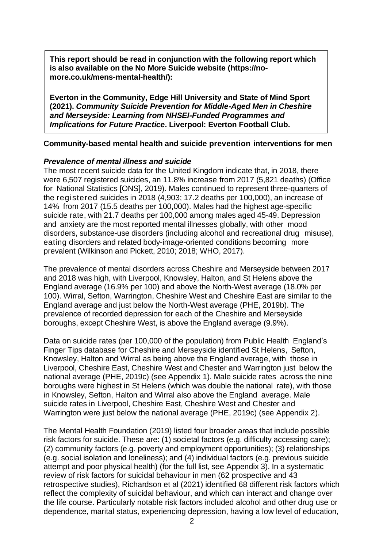**This report should be read in conjunction with the following report which is also available on the No More Suicide website (https://nomore.co.uk/mens-mental-health/):**

**Everton in the Community, Edge Hill University and State of Mind Sport (2021).** *Community Suicide Prevention for Middle-Aged Men in Cheshire and Merseyside: Learning from NHSEI-Funded Programmes and Implications for Future Practice***. Liverpool: Everton Football Club.**

#### **Community-based mental health and suicide prevention interventions for men**

#### *Prevalence of mental illness and suicide*

The most recent suicide data for the United Kingdom indicate that, in 2018, there were 6,507 registered suicides, an 11.8% increase from 2017 (5,821 deaths) (Office for National Statistics [ONS], 2019). Males continued to represent three-quarters of the registered suicides in 2018 (4,903; 17.2 deaths per 100,000), an increase of 14% from 2017 (15.5 deaths per 100,000). Males had the highest age-specific suicide rate, with 21.7 deaths per 100,000 among males aged 45-49. Depression and anxiety are the most reported mental illnesses globally, with other mood disorders, substance-use disorders (including alcohol and recreational drug misuse), eating disorders and related body-image-oriented conditions becoming more prevalent (Wilkinson and Pickett, 2010; 2018; WHO, 2017).

The prevalence of mental disorders across Cheshire and Merseyside between 2017 and 2018 was high, with Liverpool, Knowsley, Halton, and St Helens above the England average (16.9% per 100) and above the North-West average (18.0% per 100). Wirral, Sefton, Warrington, Cheshire West and Cheshire East are similar to the England average and just below the North-West average (PHE, 2019b). The prevalence of recorded depression for each of the Cheshire and Merseyside boroughs, except Cheshire West, is above the England average (9.9%).

Data on suicide rates (per 100,000 of the population) from Public Health England's Finger Tips database for Cheshire and Merseyside identified St Helens, Sefton, Knowsley, Halton and Wirral as being above the England average, with those in Liverpool, Cheshire East, Cheshire West and Chester and Warrington just below the national average (PHE, 2019c) (see Appendix 1). Male suicide rates across the nine boroughs were highest in St Helens (which was double the national rate), with those in Knowsley, Sefton, Halton and Wirral also above the England average. Male suicide rates in Liverpool, Cheshire East, Cheshire West and Chester and Warrington were just below the national average (PHE, 2019c) (see Appendix 2).

The Mental Health Foundation (2019) listed four broader areas that include possible risk factors for suicide. These are: (1) societal factors (e.g. difficulty accessing care); (2) community factors (e.g. poverty and employment opportunities); (3) relationships (e.g. social isolation and loneliness); and (4) individual factors (e.g. previous suicide attempt and poor physical health) (for the full list, see Appendix 3). In a systematic review of risk factors for suicidal behaviour in men (62 prospective and 43 retrospective studies), Richardson et al (2021) identified 68 different risk factors which reflect the complexity of suicidal behaviour, and which can interact and change over the life course. Particularly notable risk factors included alcohol and other drug use or dependence, marital status, experiencing depression, having a low level of education,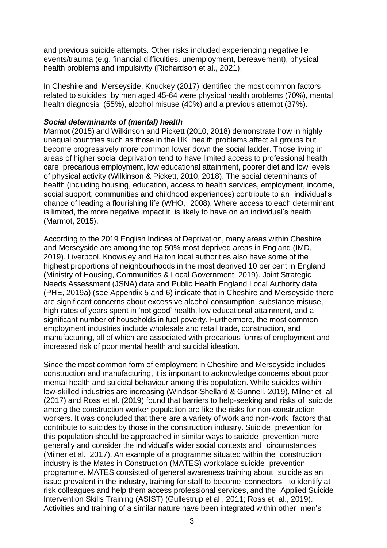and previous suicide attempts. Other risks included experiencing negative lie events/trauma (e.g. financial difficulties, unemployment, bereavement), physical health problems and impulsivity (Richardson et al., 2021).

In Cheshire and Merseyside, Knuckey (2017) identified the most common factors related to suicides by men aged 45-64 were physical health problems (70%), mental health diagnosis (55%), alcohol misuse (40%) and a previous attempt (37%).

#### *Social determinants of (mental) health*

Marmot (2015) and Wilkinson and Pickett (2010, 2018) demonstrate how in highly unequal countries such as those in the UK, health problems affect all groups but become progressively more common lower down the social ladder. Those living in areas of higher social deprivation tend to have limited access to professional health care, precarious employment, low educational attainment, poorer diet and low levels of physical activity (Wilkinson & Pickett, 2010, 2018). The social determinants of health (including housing, education, access to health services, employment, income, social support, communities and childhood experiences) contribute to an individual's chance of leading a flourishing life (WHO, 2008). Where access to each determinant is limited, the more negative impact it is likely to have on an individual's health (Marmot, 2015).

According to the 2019 English Indices of Deprivation, many areas within Cheshire and Merseyside are among the top 50% most deprived areas in England (IMD, 2019). Liverpool, Knowsley and Halton local authorities also have some of the highest proportions of neighbourhoods in the most deprived 10 per cent in England (Ministry of Housing, Communities & Local Government, 2019). Joint Strategic Needs Assessment (JSNA) data and Public Health England Local Authority data (PHE, 2019a) (see Appendix 5 and 6) indicate that in Cheshire and Merseyside there are significant concerns about excessive alcohol consumption, substance misuse, high rates of years spent in 'not good' health, low educational attainment, and a significant number of households in fuel poverty. Furthermore, the most common employment industries include wholesale and retail trade, construction, and manufacturing, all of which are associated with precarious forms of employment and increased risk of poor mental health and suicidal ideation.

Since the most common form of employment in Cheshire and Merseyside includes construction and manufacturing, it is important to acknowledge concerns about poor mental health and suicidal behaviour among this population. While suicides within low-skilled industries are increasing (Windsor-Shellard & Gunnell, 2019), Milner et al. (2017) and Ross et al. (2019) found that barriers to help-seeking and risks of suicide among the construction worker population are like the risks for non-construction workers. It was concluded that there are a variety of work and non-work factors that contribute to suicides by those in the construction industry. Suicide prevention for this population should be approached in similar ways to suicide prevention more generally and consider the individual's wider social contexts and circumstances (Milner et al., 2017). An example of a programme situated within the construction industry is the Mates in Construction (MATES) workplace suicide prevention programme. MATES consisted of general awareness training about suicide as an issue prevalent in the industry, training for staff to become 'connectors' to identify at risk colleagues and help them access professional services, and the Applied Suicide Intervention Skills Training (ASIST) (Gullestrup et al., 2011; Ross et al., 2019). Activities and training of a similar nature have been integrated within other men's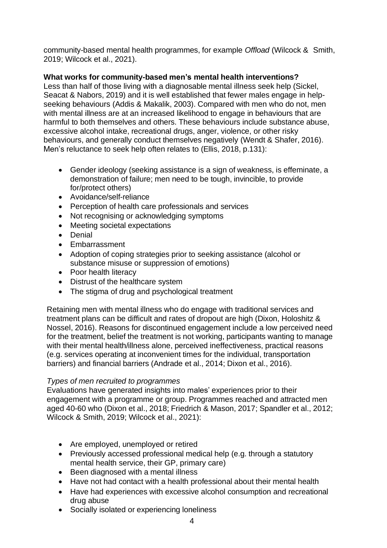community-based mental health programmes, for example *Offload* (Wilcock & Smith, 2019; Wilcock et al., 2021).

#### **What works for community-based men's mental health interventions?**

Less than half of those living with a diagnosable mental illness seek help (Sickel, Seacat & Nabors, 2019) and it is well established that fewer males engage in helpseeking behaviours (Addis & Makalik, 2003). Compared with men who do not, men with mental illness are at an increased likelihood to engage in behaviours that are harmful to both themselves and others. These behaviours include substance abuse, excessive alcohol intake, recreational drugs, anger, violence, or other risky behaviours, and generally conduct themselves negatively (Wendt & Shafer, 2016). Men's reluctance to seek help often relates to (Ellis, 2018, p.131):

- Gender ideology (seeking assistance is a sign of weakness, is effeminate, a demonstration of failure; men need to be tough, invincible, to provide for/protect others)
- Avoidance/self-reliance
- Perception of health care professionals and services
- Not recognising or acknowledging symptoms
- Meeting societal expectations
- Denial
- Embarrassment
- Adoption of coping strategies prior to seeking assistance (alcohol or substance misuse or suppression of emotions)
- Poor health literacy
- Distrust of the healthcare system
- The stigma of drug and psychological treatment

Retaining men with mental illness who do engage with traditional services and treatment plans can be difficult and rates of dropout are high (Dixon, Holoshitz & Nossel, 2016). Reasons for discontinued engagement include a low perceived need for the treatment, belief the treatment is not working, participants wanting to manage with their mental health/illness alone, perceived ineffectiveness, practical reasons (e.g. services operating at inconvenient times for the individual, transportation barriers) and financial barriers (Andrade et al., 2014; Dixon et al., 2016).

#### *Types of men recruited to programmes*

Evaluations have generated insights into males' experiences prior to their engagement with a programme or group. Programmes reached and attracted men aged 40-60 who (Dixon et al., 2018; Friedrich & Mason, 2017; Spandler et al., 2012; Wilcock & Smith, 2019; Wilcock et al., 2021):

- Are employed, unemployed or retired
- Previously accessed professional medical help (e.g. through a statutory mental health service, their GP, primary care)
- Been diagnosed with a mental illness
- Have not had contact with a health professional about their mental health
- Have had experiences with excessive alcohol consumption and recreational drug abuse
- Socially isolated or experiencing loneliness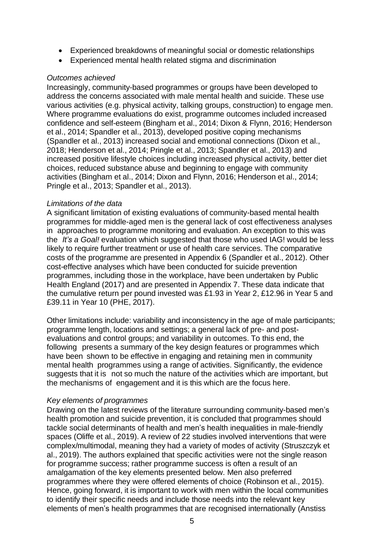- Experienced breakdowns of meaningful social or domestic relationships
- Experienced mental health related stigma and discrimination

#### *Outcomes achieved*

Increasingly, community-based programmes or groups have been developed to address the concerns associated with male mental health and suicide. These use various activities (e.g. physical activity, talking groups, construction) to engage men. Where programme evaluations do exist, programme outcomes included increased confidence and self-esteem (Bingham et al., 2014; Dixon & Flynn, 2016; Henderson et al., 2014; Spandler et al., 2013), developed positive coping mechanisms (Spandler et al., 2013) increased social and emotional connections (Dixon et al., 2018; Henderson et al., 2014; Pringle et al., 2013; Spandler et al., 2013) and increased positive lifestyle choices including increased physical activity, better diet choices, reduced substance abuse and beginning to engage with community activities (Bingham et al., 2014; Dixon and Flynn, 2016; Henderson et al., 2014; Pringle et al., 2013; Spandler et al., 2013).

#### *Limitations of the data*

A significant limitation of existing evaluations of community-based mental health programmes for middle-aged men is the general lack of cost effectiveness analyses in approaches to programme monitoring and evaluation. An exception to this was the *It's a Goal!* evaluation which suggested that those who used IAG! would be less likely to require further treatment or use of health care services. The comparative costs of the programme are presented in Appendix 6 (Spandler et al., 2012). Other cost-effective analyses which have been conducted for suicide prevention programmes, including those in the workplace, have been undertaken by Public Health England (2017) and are presented in Appendix 7. These data indicate that the cumulative return per pound invested was £1.93 in Year 2, £12.96 in Year 5 and £39.11 in Year 10 (PHE, 2017).

Other limitations include: variability and inconsistency in the age of male participants; programme length, locations and settings; a general lack of pre- and postevaluations and control groups; and variability in outcomes. To this end, the following presents a summary of the key design features or programmes which have been shown to be effective in engaging and retaining men in community mental health programmes using a range of activities. Significantly, the evidence suggests that it is not so much the nature of the activities which are important, but the mechanisms of engagement and it is this which are the focus here.

#### *Key elements of programmes*

Drawing on the latest reviews of the literature surrounding community-based men's health promotion and suicide prevention, it is concluded that programmes should tackle social determinants of health and men's health inequalities in male-friendly spaces (Oliffe et al., 2019). A review of 22 studies involved interventions that were complex/multimodal, meaning they had a variety of modes of activity (Struszczyk et al., 2019). The authors explained that specific activities were not the single reason for programme success; rather programme success is often a result of an amalgamation of the key elements presented below. Men also preferred programmes where they were offered elements of choice (Robinson et al., 2015). Hence, going forward, it is important to work with men within the local communities to identify their specific needs and include those needs into the relevant key elements of men's health programmes that are recognised internationally (Anstiss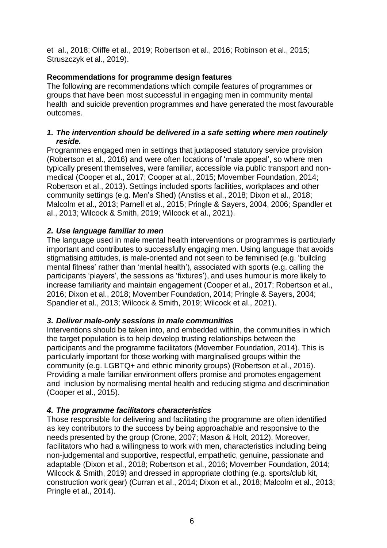et al., 2018; Oliffe et al., 2019; Robertson et al., 2016; Robinson et al., 2015; Struszczyk et al., 2019).

#### **Recommendations for programme design features**

The following are recommendations which compile features of programmes or groups that have been most successful in engaging men in community mental health and suicide prevention programmes and have generated the most favourable outcomes.

#### *1. The intervention should be delivered in a safe setting where men routinely reside.*

Programmes engaged men in settings that juxtaposed statutory service provision (Robertson et al., 2016) and were often locations of 'male appeal', so where men typically present themselves, were familiar, accessible via public transport and nonmedical (Cooper et al., 2017; Cooper at al., 2015; Movember Foundation, 2014; Robertson et al., 2013). Settings included sports facilities, workplaces and other community settings (e.g. Men's Shed) (Anstiss et al., 2018; Dixon et al., 2018; Malcolm et al., 2013; Parnell et al., 2015; Pringle & Sayers, 2004, 2006; Spandler et al., 2013; Wilcock & Smith, 2019; Wilcock et al., 2021).

#### *2. Use language familiar to men*

The language used in male mental health interventions or programmes is particularly important and contributes to successfully engaging men. Using language that avoids stigmatising attitudes, is male-oriented and not seen to be feminised (e.g. 'building mental fitness' rather than 'mental health'), associated with sports (e.g. calling the participants 'players', the sessions as 'fixtures'), and uses humour is more likely to increase familiarity and maintain engagement (Cooper et al., 2017; Robertson et al., 2016; Dixon et al., 2018; Movember Foundation, 2014; Pringle & Sayers, 2004; Spandler et al., 2013; Wilcock & Smith, 2019; Wilcock et al., 2021).

#### *3. Deliver male-only sessions in male communities*

Interventions should be taken into, and embedded within, the communities in which the target population is to help develop trusting relationships between the participants and the programme facilitators (Movember Foundation, 2014). This is particularly important for those working with marginalised groups within the community (e.g. LGBTQ+ and ethnic minority groups) (Robertson et al., 2016). Providing a male familiar environment offers promise and promotes engagement and inclusion by normalising mental health and reducing stigma and discrimination (Cooper et al., 2015).

#### *4. The programme facilitators characteristics*

Those responsible for delivering and facilitating the programme are often identified as key contributors to the success by being approachable and responsive to the needs presented by the group (Crone, 2007; Mason & Holt, 2012). Moreover, facilitators who had a willingness to work with men, characteristics including being non-judgemental and supportive, respectful, empathetic, genuine, passionate and adaptable (Dixon et al., 2018; Robertson et al., 2016; Movember Foundation, 2014; Wilcock & Smith, 2019) and dressed in appropriate clothing (e.g. sports/club kit, construction work gear) (Curran et al., 2014; Dixon et al., 2018; Malcolm et al., 2013; Pringle et al., 2014).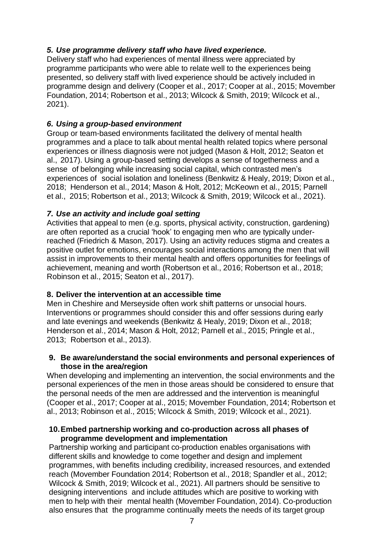#### *5. Use programme delivery staff who have lived experience.*

Delivery staff who had experiences of mental illness were appreciated by programme participants who were able to relate well to the experiences being presented, so delivery staff with lived experience should be actively included in programme design and delivery (Cooper et al., 2017; Cooper at al., 2015; Movember Foundation, 2014; Robertson et al., 2013; Wilcock & Smith, 2019; Wilcock et al., 2021).

#### *6. Using a group-based environment*

Group or team-based environments facilitated the delivery of mental health programmes and a place to talk about mental health related topics where personal experiences or illness diagnosis were not judged (Mason & Holt, 2012; Seaton et al., 2017). Using a group-based setting develops a sense of togetherness and a sense of belonging while increasing social capital, which contrasted men's experiences of social isolation and loneliness (Benkwitz & Healy, 2019; Dixon et al., 2018; Henderson et al., 2014; Mason & Holt, 2012; McKeown et al., 2015; Parnell et al., 2015; Robertson et al., 2013; Wilcock & Smith, 2019; Wilcock et al., 2021).

#### *7. Use an activity and include goal setting*

Activities that appeal to men (e.g. sports, physical activity, construction, gardening) are often reported as a crucial 'hook' to engaging men who are typically underreached (Friedrich & Mason, 2017). Using an activity reduces stigma and creates a positive outlet for emotions, encourages social interactions among the men that will assist in improvements to their mental health and offers opportunities for feelings of achievement, meaning and worth (Robertson et al., 2016; Robertson et al., 2018; Robinson et al., 2015; Seaton et al., 2017).

#### **8. Deliver the intervention at an accessible time**

Men in Cheshire and Merseyside often work shift patterns or unsocial hours. Interventions or programmes should consider this and offer sessions during early and late evenings and weekends (Benkwitz & Healy, 2019; Dixon et al., 2018; Henderson et al., 2014; Mason & Holt, 2012; Parnell et al., 2015; Pringle et al., 2013; Robertson et al., 2013).

#### **9. Be aware/understand the social environments and personal experiences of those in the area/region**

When developing and implementing an intervention, the social environments and the personal experiences of the men in those areas should be considered to ensure that the personal needs of the men are addressed and the intervention is meaningful (Cooper et al., 2017; Cooper at al., 2015; Movember Foundation, 2014; Robertson et al., 2013; Robinson et al., 2015; Wilcock & Smith, 2019; Wilcock et al., 2021).

#### **10.Embed partnership working and co-production across all phases of programme development and implementation**

Partnership working and participant co-production enables organisations with different skills and knowledge to come together and design and implement programmes, with benefits including credibility, increased resources, and extended reach (Movember Foundation 2014; Robertson et al., 2018; Spandler et al., 2012; Wilcock & Smith, 2019; Wilcock et al., 2021). All partners should be sensitive to designing interventions and include attitudes which are positive to working with men to help with their mental health (Movember Foundation, 2014). Co-production also ensures that the programme continually meets the needs of its target group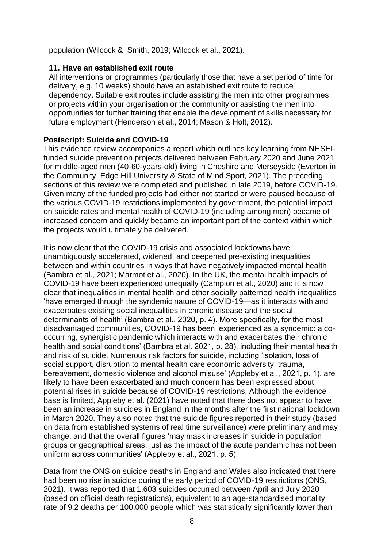population (Wilcock & Smith, 2019; Wilcock et al., 2021).

#### **11. Have an established exit route**

All interventions or programmes (particularly those that have a set period of time for delivery, e.g. 10 weeks) should have an established exit route to reduce dependency. Suitable exit routes include assisting the men into other programmes or projects within your organisation or the community or assisting the men into opportunities for further training that enable the development of skills necessary for future employment (Henderson et al., 2014; Mason & Holt, 2012).

#### **Postscript: Suicide and COVID-19**

This evidence review accompanies a report which outlines key learning from NHSEIfunded suicide prevention projects delivered between February 2020 and June 2021 for middle-aged men (40-60-years-old) living in Cheshire and Merseyside (Everton in the Community, Edge Hill University & State of Mind Sport, 2021). The preceding sections of this review were completed and published in late 2019, before COVID-19. Given many of the funded projects had either not started or were paused because of the various COVID-19 restrictions implemented by government, the potential impact on suicide rates and mental health of COVID-19 (including among men) became of increased concern and quickly became an important part of the context within which the projects would ultimately be delivered.

It is now clear that the COVID-19 crisis and associated lockdowns have unambiguously accelerated, widened, and deepened pre-existing inequalities between and within countries in ways that have negatively impacted mental health (Bambra et al., 2021; Marmot et al., 2020). In the UK, the mental health impacts of COVID-19 have been experienced unequally (Campion et al., 2020) and it is now clear that inequalities in mental health and other socially patterned health inequalities 'have emerged through the syndemic nature of COVID-19—as it interacts with and exacerbates existing social inequalities in chronic disease and the social determinants of health' (Bambra et al., 2020, p. 4). More specifically, for the most disadvantaged communities, COVID-19 has been 'experienced as a syndemic: a cooccurring, synergistic pandemic which interacts with and exacerbates their chronic health and social conditions' (Bambra et al. 2021, p. 28), including their mental health and risk of suicide. Numerous risk factors for suicide, including 'isolation, loss of social support, disruption to mental health care economic adversity, trauma, bereavement, domestic violence and alcohol misuse' (Appleby et al., 2021, p. 1), are likely to have been exacerbated and much concern has been expressed about potential rises in suicide because of COVID-19 restrictions. Although the evidence base is limited, Appleby et al. (2021) have noted that there does not appear to have been an increase in suicides in England in the months after the first national lockdown in March 2020. They also noted that the suicide figures reported in their study (based on data from established systems of real time surveillance) were preliminary and may change, and that the overall figures 'may mask increases in suicide in population groups or geographical areas, just as the impact of the acute pandemic has not been uniform across communities' (Appleby et al., 2021, p. 5).

Data from the ONS on suicide deaths in England and Wales also indicated that there had been no rise in suicide during the early period of COVID-19 restrictions (ONS, 2021). It was reported that 1,603 suicides occurred between April and July 2020 (based on official death registrations), equivalent to an age-standardised mortality rate of 9.2 deaths per 100,000 people which was statistically significantly lower than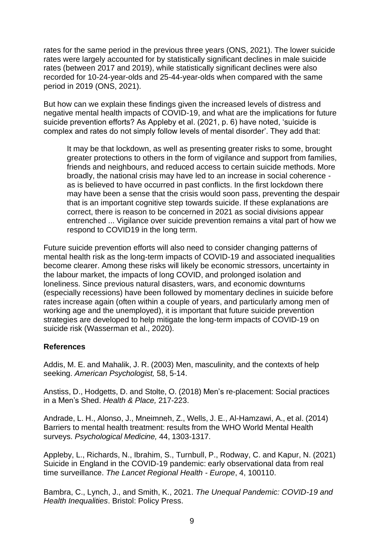rates for the same period in the previous three years (ONS, 2021). The lower suicide rates were largely accounted for by statistically significant declines in male suicide rates (between 2017 and 2019), while statistically significant declines were also recorded for 10-24-year-olds and 25-44-year-olds when compared with the same period in 2019 (ONS, 2021).

But how can we explain these findings given the increased levels of distress and negative mental health impacts of COVID-19, and what are the implications for future suicide prevention efforts? As Appleby et al. (2021, p. 6) have noted, 'suicide is complex and rates do not simply follow levels of mental disorder'. They add that:

It may be that lockdown, as well as presenting greater risks to some, brought greater protections to others in the form of vigilance and support from families, friends and neighbours, and reduced access to certain suicide methods. More broadly, the national crisis may have led to an increase in social coherence as is believed to have occurred in past conflicts. In the first lockdown there may have been a sense that the crisis would soon pass, preventing the despair that is an important cognitive step towards suicide. If these explanations are correct, there is reason to be concerned in 2021 as social divisions appear entrenched ... Vigilance over suicide prevention remains a vital part of how we respond to COVID19 in the long term.

Future suicide prevention efforts will also need to consider changing patterns of mental health risk as the long-term impacts of COVID-19 and associated inequalities become clearer. Among these risks will likely be economic stressors, uncertainty in the labour market, the impacts of long COVID, and prolonged isolation and loneliness. Since previous natural disasters, wars, and economic downturns (especially recessions) have been followed by momentary declines in suicide before rates increase again (often within a couple of years, and particularly among men of working age and the unemployed), it is important that future suicide prevention strategies are developed to help mitigate the long-term impacts of COVID-19 on suicide risk (Wasserman et al., 2020).

#### **References**

Addis, M. E. and Mahalik, J. R. (2003) Men, masculinity, and the contexts of help seeking. *American Psychologist,* 58, 5-14.

Anstiss, D., Hodgetts, D. and Stolte, O. (2018) Men's re-placement: Social practices in a Men's Shed. *Health & Place,* 217-223.

Andrade, L. H., Alonso, J., Mneimneh, Z., Wells, J. E., Al-Hamzawi, A., et al. (2014) Barriers to mental health treatment: results from the WHO World Mental Health surveys. *Psychological Medicine,* 44, 1303-1317.

Appleby, L., Richards, N., Ibrahim, S., Turnbull, P., Rodway, C. and Kapur, N. (2021) Suicide in England in the COVID-19 pandemic: early observational data from real time surveillance. *The Lancet Regional Health - Europe*, 4, 100110.

Bambra, C., Lynch, J., and Smith, K., 2021. *The Unequal Pandemic: COVID-19 and Health Inequalities*. Bristol: Policy Press.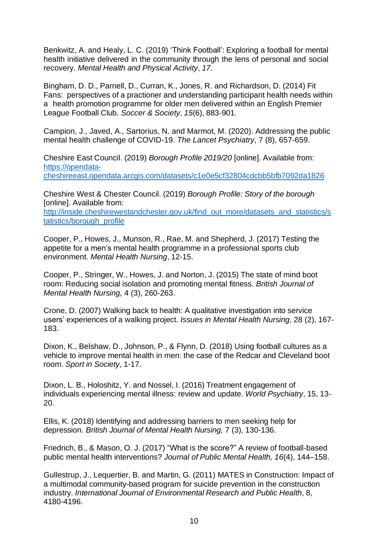Benkwitz, A. and Healy, L. C. (2019) 'Think Football': Exploring a football for mental health initiative delivered in the community through the lens of personal and social recovery. *Mental Health and Physical Activity*, *17*.

Bingham, D. D., Parnell, D., Curran, K., Jones, R. and Richardson, D. (2014) Fit Fans: perspectives of a practioner and understanding participant health needs within a health promotion programme for older men delivered within an English Premier League Football Club. *Soccer & Society*, *15*(6), 883-901.

Campion, J., Javed, A., Sartorius, N. and Marmot, M. (2020). Addressing the public mental health challenge of COVID-19. *The Lancet Psychiatry*, 7 (8), 657-659.

Cheshire East Council. (2019) *Borough Profile 2019/20* [online]. Available from: [https://opendata](https://opendata-cheshireeast.opendata.arcgis.com/datasets/c1e0e5cf32804cdcbb5bfb7092da1826)[cheshireeast.opendata.arcgis.com/datasets/c1e0e5cf32804cdcbb5bfb7092da1826](https://opendata-cheshireeast.opendata.arcgis.com/datasets/c1e0e5cf32804cdcbb5bfb7092da1826)

Cheshire West & Chester Council. (2019) *Borough Profile: Story of the borough* [online]. Available from:

[http://inside.cheshirewestandchester.gov.uk/find\\_out\\_more/datasets\\_and\\_statistics/s](http://inside.cheshirewestandchester.gov.uk/find_out_more/datasets_and_statistics/statistics/borough_profile) [tatistics/borough\\_profile](http://inside.cheshirewestandchester.gov.uk/find_out_more/datasets_and_statistics/statistics/borough_profile)

Cooper, P., Howes, J., Munson, R., Rae, M. and Shepherd, J. (2017) Testing the appetite for a men's mental health programme in a professional sports club environment. *Mental Health Nursing*, 12-15.

Cooper, P., Stringer, W., Howes, J. and Norton, J. (2015) The state of mind boot room: Reducing social isolation and promoting mental fitness. *British Journal of Mental Health Nursing,* 4 (3), 260-263.

Crone, D. (2007) Walking back to health: A qualitative investigation into service users' experiences of a walking project. *Issues in Mental Health Nursing*, 28 (2), 167- 183.

Dixon, K., Belshaw, D., Johnson, P., & Flynn, D. (2018) Using football cultures as a vehicle to improve mental health in men: the case of the Redcar and Cleveland boot room. *Sport in Society*, 1-17.

Dixon, L. B., Holoshitz, Y. and Nossel, I. (2016) Treatment engagement of individuals experiencing mental illness: review and update. *World Psychiatry*, 15, 13- 20.

Ellis, K. (2018) Identifying and addressing barriers to men seeking help for depression. *British Journal of Mental Health Nursing,* 7 (3), 130-136.

Friedrich, B., & Mason, O. J. (2017) "What is the score?" A review of football-based public mental health interventions? *Journal of Public Mental Health, 16*(4), 144–158.

Gullestrup, J., Lequertier, B. and Martin, G. (2011) MATES in Construction: Impact of a multimodal community-based program for suicide prevention in the construction industry. *International Journal of Environmental Research and Public Health*, 8, 4180-4196.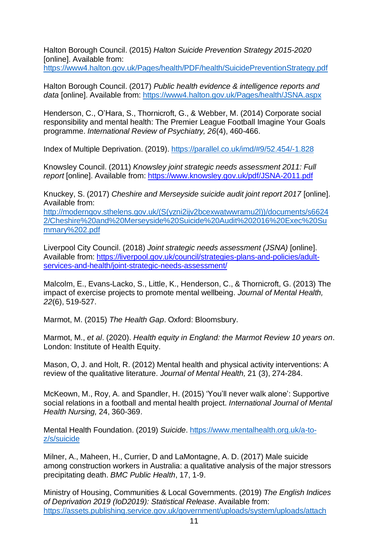Halton Borough Council. (2015) *Halton Suicide Prevention Strategy 2015-2020* [online]. Available from:

<https://www4.halton.gov.uk/Pages/health/PDF/health/SuicidePreventionStrategy.pdf>

Halton Borough Council. (2017) *Public health evidence & intelligence reports and data* [online]. Available from:<https://www4.halton.gov.uk/Pages/health/JSNA.aspx>

Henderson, C., O'Hara, S., Thornicroft, G., & Webber, M. (2014) Corporate social responsibility and mental health: The Premier League Football Imagine Your Goals programme. *International Review of Psychiatry, 26*(4), 460-466.

Index of Multiple Deprivation. (2019). [https://parallel.co.uk/imd/#9/52.454/-1.828](https://parallel.co.uk/imd/%239/52.454/-1.828)

Knowsley Council. (2011) *Knowsley joint strategic needs assessment 2011: Full report* [online]. Available from: <https://www.knowsley.gov.uk/pdf/JSNA-2011.pdf>

Knuckey, S. (2017) *Cheshire and Merseyside suicide audit joint report 2017* [online]. Available from:

[http://moderngov.sthelens.gov.uk/\(S\(yzni2ijv2bcexwatwwramu2l\)\)/documents/s6624](http://moderngov.sthelens.gov.uk/(S(yzni2ijv2bcexwatwwramu2l))/documents/s66242/Cheshire%20and%20Merseyside%20Suicide%20Audit%202016%20Exec%20Summary%202.pdf) [2/Cheshire%20and%20Merseyside%20Suicide%20Audit%202016%20Exec%20Su](http://moderngov.sthelens.gov.uk/(S(yzni2ijv2bcexwatwwramu2l))/documents/s66242/Cheshire%20and%20Merseyside%20Suicide%20Audit%202016%20Exec%20Summary%202.pdf) [mmary%202.pdf](http://moderngov.sthelens.gov.uk/(S(yzni2ijv2bcexwatwwramu2l))/documents/s66242/Cheshire%20and%20Merseyside%20Suicide%20Audit%202016%20Exec%20Summary%202.pdf)

Liverpool City Council. (2018) *Joint strategic needs assessment (JSNA)* [online]. Available from: [https://liverpool.gov.uk/council/strategies-plans-and-policies/adult](https://liverpool.gov.uk/council/strategies-plans-and-policies/adult-services-and-health/joint-strategic-needs-assessment/)[services-and-health/joint-strategic-needs-assessment/](https://liverpool.gov.uk/council/strategies-plans-and-policies/adult-services-and-health/joint-strategic-needs-assessment/)

Malcolm, E., Evans-Lacko, S., Little, K., Henderson, C., & Thornicroft, G. (2013) The impact of exercise projects to promote mental wellbeing. *Journal of Mental Health, 22*(6), 519-527.

Marmot, M. (2015) *The Health Gap*. Oxford: Bloomsbury.

Marmot, M., *et al*. (2020). *Health equity in England: the Marmot Review 10 years on*. London: Institute of Health Equity.

Mason, O, J. and Holt, R. (2012) Mental health and physical activity interventions: A review of the qualitative literature. *Journal of Mental Health,* 21 (3), 274-284.

McKeown, M., Roy, A. and Spandler, H. (2015) 'You'll never walk alone': Supportive social relations in a football and mental health project. *International Journal of Mental Health Nursing,* 24, 360-369.

Mental Health Foundation. (2019) *Suicide*. [https://www.mentalhealth.org.uk/a-to](https://www.mentalhealth.org.uk/a-to-z/s/suicide)[z/s/suicide](https://www.mentalhealth.org.uk/a-to-z/s/suicide)

Milner, A., Maheen, H., Currier, D and LaMontagne, A. D. (2017) Male suicide among construction workers in Australia: a qualitative analysis of the major stressors precipitating death. *BMC Public Health*, 17, 1-9.

Ministry of Housing, Communities & Local Governments. (2019) *The English Indices of Deprivation 2019 (IoD2019): Statistical Release*. Available from: [https://assets.publishing.service.gov.uk/government/uploads/system/uploads/attach](https://assets.publishing.service.gov.uk/government/uploads/system/uploads/attachment_data/file/835115/IoD2019_Statistical_Release.pdf)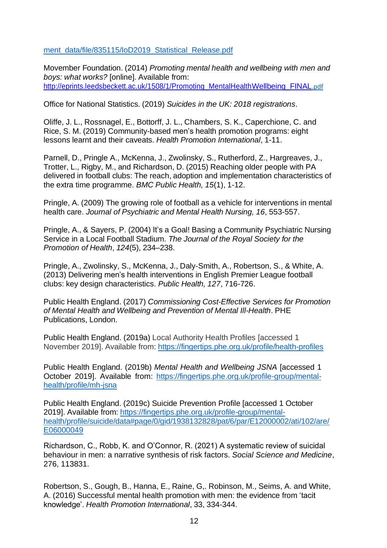#### [ment\\_data/file/835115/IoD2019\\_Statistical\\_Release.pdf](https://assets.publishing.service.gov.uk/government/uploads/system/uploads/attachment_data/file/835115/IoD2019_Statistical_Release.pdf)

Movember Foundation. (2014) *Promoting mental health and wellbeing with men and boys: what works?* [online]. Available from: [http://eprints.leedsbeckett.ac.uk/1508/1/Promoting\\_MentalHealthWellbeing\\_FINAL](http://eprints.leedsbeckett.ac.uk/1508/1/Promoting_MentalHealthWellbeing_FINAL)[.pdf](http://eprints.leedsbeckett.ac.uk/1508/1/Promoting_MentalHealth__Wellbeing_FINAL.pdf)

Office for National Statistics. (2019) *Suicides in the UK: 2018 registrations*.

Oliffe, J. L., Rossnagel, E., Bottorff, J. L., Chambers, S. K., Caperchione, C. and Rice, S. M. (2019) Community-based men's health promotion programs: eight lessons learnt and their caveats. *Health Promotion International*, 1-11.

Parnell, D., Pringle A., McKenna, J., Zwolinsky, S., Rutherford, Z., Hargreaves, J., Trotter, L., Rigby, M., and Richardson, D. (2015) Reaching older people with PA delivered in football clubs: The reach, adoption and implementation characteristics of the extra time programme. *BMC Public Health, 15*(1), 1-12.

Pringle, A. (2009) The growing role of football as a vehicle for interventions in mental health care. *Journal of Psychiatric and Mental Health Nursing, 16*, 553-557.

Pringle, A., & Sayers, P. (2004) It's a Goal! Basing a Community Psychiatric Nursing Service in a Local Football Stadium. *The Journal of the Royal Society for the Promotion of Health*, *124*(5), 234–238.

Pringle, A., Zwolinsky, S., McKenna, J., Daly-Smith, A., Robertson, S., & White, A. (2013) Delivering men's health interventions in English Premier League football clubs: key design characteristics. *Public Health, 127*, 716-726.

Public Health England. (2017) *Commissioning Cost-Effective Services for Promotion of Mental Health and Wellbeing and Prevention of Mental Ill-Health*. PHE Publications, London.

Public Health England. (2019a) Local Authority Health Profiles [accessed 1 November 2019]. Available from: <https://fingertips.phe.org.uk/profile/health-profiles>

Public Health England. (2019b) *Mental Health and Wellbeing JSNA* [accessed 1 October 2019]. Available from: [https://fingertips.phe.org.uk/profile-group/mental](https://fingertips.phe.org.uk/profile-group/mental-health/profile/mh-jsna)[health/profile/mh-jsna](https://fingertips.phe.org.uk/profile-group/mental-health/profile/mh-jsna)

Public Health England. (2019c) Suicide Prevention Profile [accessed 1 October 2019]. Available from: [https://fingertips.phe.org.uk/profile-group/mental](https://fingertips.phe.org.uk/profile-group/mental-health/profile/suicide/data%23page/0/gid/1938132828/pat/6/par/E12000002/ati/102/are/E06000049)[health/profile/suicide/data#page/0/gid/1938132828/pat/6/par/E12000002/ati/102/are/](https://fingertips.phe.org.uk/profile-group/mental-health/profile/suicide/data%23page/0/gid/1938132828/pat/6/par/E12000002/ati/102/are/E06000049) [E06000049](https://fingertips.phe.org.uk/profile-group/mental-health/profile/suicide/data%23page/0/gid/1938132828/pat/6/par/E12000002/ati/102/are/E06000049)

Richardson, C., Robb, K. and O'Connor, R. (2021) A systematic review of suicidal behaviour in men: a narrative synthesis of risk factors. *Social Science and Medicine*, 276, 113831.

Robertson, S., Gough, B., Hanna, E., Raine, G,. Robinson, M., Seims, A. and White, A. (2016) Successful mental health promotion with men: the evidence from 'tacit knowledge'. *Health Promotion International*, 33, 334-344.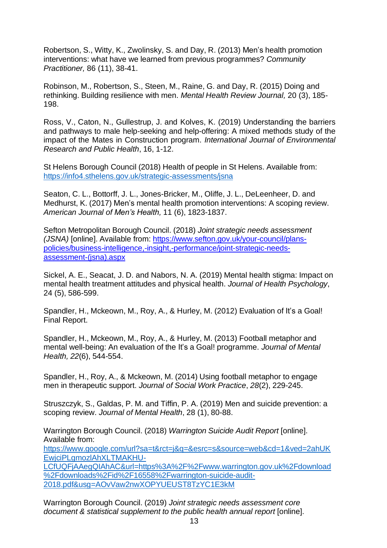Robertson, S., Witty, K., Zwolinsky, S. and Day, R. (2013) Men's health promotion interventions: what have we learned from previous programmes? *Community Practitioner,* 86 (11), 38-41.

Robinson, M., Robertson, S., Steen, M., Raine, G. and Day, R. (2015) Doing and rethinking. Building resilience with men. *Mental Health Review Journal,* 20 (3), 185- 198.

Ross, V., Caton, N., Gullestrup, J. and Kolves, K. (2019) Understanding the barriers and pathways to male help-seeking and help-offering: A mixed methods study of the impact of the Mates in Construction program. *International Journal of Environmental Research and Public Health*, 16, 1-12.

St Helens Borough Council (2018) Health of people in St Helens. Available from: <https://info4.sthelens.gov.uk/strategic-assessments/jsna>

Seaton, C. L., Bottorff, J. L., Jones-Bricker, M., Oliffe, J. L., DeLeenheer, D. and Medhurst, K. (2017) Men's mental health promotion interventions: A scoping review. *American Journal of Men's Health,* 11 (6), 1823-1837.

Sefton Metropolitan Borough Council. (2018) *Joint strategic needs assessment (JSNA)* [online]. Available from: [https://www.sefton.gov.uk/your-council/plans](https://www.sefton.gov.uk/your-council/plans-policies/business-intelligence%2C-insight%2C-performance/joint-strategic-needs-assessment-(jsna).aspx)[policies/business-intelligence,-insight,-performance/joint-strategic-needs](https://www.sefton.gov.uk/your-council/plans-policies/business-intelligence%2C-insight%2C-performance/joint-strategic-needs-assessment-(jsna).aspx)[assessment-\(jsna\).aspx](https://www.sefton.gov.uk/your-council/plans-policies/business-intelligence%2C-insight%2C-performance/joint-strategic-needs-assessment-(jsna).aspx)

Sickel, A. E., Seacat, J. D. and Nabors, N. A. (2019) Mental health stigma: Impact on mental health treatment attitudes and physical health. *Journal of Health Psychology*, 24 (5), 586-599.

Spandler, H., Mckeown, M., Roy, A., & Hurley, M. (2012) Evaluation of It's a Goal! Final Report.

Spandler, H., Mckeown, M., Roy, A., & Hurley, M. (2013) Football metaphor and mental well-being: An evaluation of the It's a Goal! programme. *Journal of Mental Health, 22*(6), 544-554.

Spandler, H., Roy, A., & Mckeown, M. (2014) Using football metaphor to engage men in therapeutic support. *Journal of Social Work Practice*, *28*(2), 229-245.

Struszczyk, S., Galdas, P. M. and Tiffin, P. A. (2019) Men and suicide prevention: a scoping review. *Journal of Mental Health*, 28 (1), 80-88.

Warrington Borough Council. (2018) *Warrington Suicide Audit Report* [online]. Available from:

[https://www.google.com/url?sa=t&rct=j&q=&esrc=s&source=web&cd=1&ved=2ahUK](https://www.google.com/url?sa=t&amp%3Brct=j&amp%3Bq&amp%3Besrc=s&amp%3Bsource=web&amp%3Bcd=1&amp%3Bved=2ahUKEwjciPLgmozlAhXLTMAKHU-LCfUQFjAAegQIAhAC&amp%3Burl=https%3A%2F%2Fwww.warrington.gov.uk%2Fdownload%2Fdownloads%2Fid%2F16558%2Fwarrington-suicide-audit-2018.pdf&amp%3Busg=AOvVaw2nwXOPYUEUST8TzYC1E3kM) [EwjciPLgmozlAhXLTMAKHU-](https://www.google.com/url?sa=t&amp%3Brct=j&amp%3Bq&amp%3Besrc=s&amp%3Bsource=web&amp%3Bcd=1&amp%3Bved=2ahUKEwjciPLgmozlAhXLTMAKHU-LCfUQFjAAegQIAhAC&amp%3Burl=https%3A%2F%2Fwww.warrington.gov.uk%2Fdownload%2Fdownloads%2Fid%2F16558%2Fwarrington-suicide-audit-2018.pdf&amp%3Busg=AOvVaw2nwXOPYUEUST8TzYC1E3kM)

[LCfUQFjAAegQIAhAC&url=https%3A%2F%2Fwww.warrington.gov.uk%2Fdownload](https://www.google.com/url?sa=t&amp%3Brct=j&amp%3Bq&amp%3Besrc=s&amp%3Bsource=web&amp%3Bcd=1&amp%3Bved=2ahUKEwjciPLgmozlAhXLTMAKHU-LCfUQFjAAegQIAhAC&amp%3Burl=https%3A%2F%2Fwww.warrington.gov.uk%2Fdownload%2Fdownloads%2Fid%2F16558%2Fwarrington-suicide-audit-2018.pdf&amp%3Busg=AOvVaw2nwXOPYUEUST8TzYC1E3kM) [%2Fdownloads%2Fid%2F16558%2Fwarrington-suicide-audit-](https://www.google.com/url?sa=t&amp%3Brct=j&amp%3Bq&amp%3Besrc=s&amp%3Bsource=web&amp%3Bcd=1&amp%3Bved=2ahUKEwjciPLgmozlAhXLTMAKHU-LCfUQFjAAegQIAhAC&amp%3Burl=https%3A%2F%2Fwww.warrington.gov.uk%2Fdownload%2Fdownloads%2Fid%2F16558%2Fwarrington-suicide-audit-2018.pdf&amp%3Busg=AOvVaw2nwXOPYUEUST8TzYC1E3kM)[2018.pdf&usg=AOvVaw2nwXOPYUEUST8TzYC1E3kM](https://www.google.com/url?sa=t&amp%3Brct=j&amp%3Bq&amp%3Besrc=s&amp%3Bsource=web&amp%3Bcd=1&amp%3Bved=2ahUKEwjciPLgmozlAhXLTMAKHU-LCfUQFjAAegQIAhAC&amp%3Burl=https%3A%2F%2Fwww.warrington.gov.uk%2Fdownload%2Fdownloads%2Fid%2F16558%2Fwarrington-suicide-audit-2018.pdf&amp%3Busg=AOvVaw2nwXOPYUEUST8TzYC1E3kM)

Warrington Borough Council. (2019) *Joint strategic needs assessment core document & statistical supplement to the public health annual report* [online].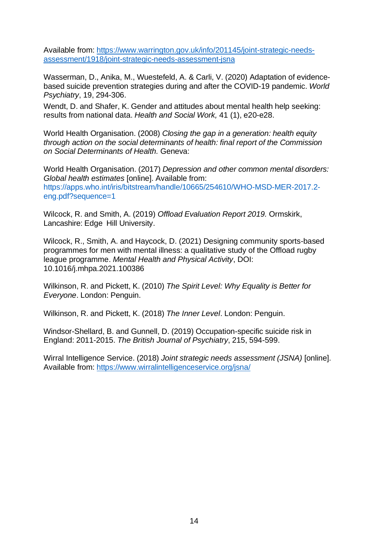Available from: [https://www.warrington.gov.uk/info/201145/joint-strategic-needs](https://www.warrington.gov.uk/info/201145/joint-strategic-needs-assessment/1918/joint-strategic-needs-assessment-jsna)[assessment/1918/joint-strategic-needs-assessment-jsna](https://www.warrington.gov.uk/info/201145/joint-strategic-needs-assessment/1918/joint-strategic-needs-assessment-jsna)

Wasserman, D., Anika, M., Wuestefeld, A. & Carli, V. (2020) Adaptation of evidencebased suicide prevention strategies during and after the COVID-19 pandemic. *World Psychiatry*, 19, 294-306.

Wendt, D. and Shafer, K. Gender and attitudes about mental health help seeking: results from national data. *Health and Social Work,* 41 (1), e20-e28.

World Health Organisation. (2008) *Closing the gap in a generation: health equity through action on the social determinants of health: final report of the Commission on Social Determinants of Health.* Geneva:

World Health Organisation. (2017) *Depression and other common mental disorders: Global health estimates* [online]. Available from: https://apps.who.int/iris/bitstream/handle/10665/254610/WHO-MSD-MER-2017.2 eng.pdf?sequence=1

Wilcock, R. and Smith, A. (2019) *Offload Evaluation Report 2019.* Ormskirk, Lancashire: Edge Hill University.

Wilcock, R., Smith, A. and Haycock, D. (2021) Designing community sports-based programmes for men with mental illness: a qualitative study of the Offload rugby league programme. *Mental Health and Physical Activity*, DOI: 10.1016/j.mhpa.2021.100386

Wilkinson, R. and Pickett, K. (2010) *The Spirit Level: Why Equality is Better for Everyone*. London: Penguin.

Wilkinson, R. and Pickett, K. (2018) *The Inner Level*. London: Penguin.

Windsor-Shellard, B. and Gunnell, D. (2019) Occupation-specific suicide risk in England: 2011-2015. *The British Journal of Psychiatry*, 215, 594-599.

Wirral Intelligence Service. (2018) *Joint strategic needs assessment (JSNA)* [online]. Available from: <https://www.wirralintelligenceservice.org/jsna/>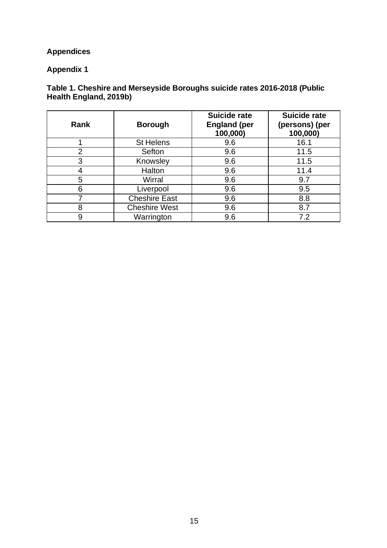## **Appendices**

#### **Appendix 1**

#### **Table 1. Cheshire and Merseyside Boroughs suicide rates 2016-2018 (Public Health England, 2019b)**

| Rank           | <b>Borough</b>       | <b>Suicide rate</b><br><b>England (per</b><br>100,000) | <b>Suicide rate</b><br>(persons) (per<br>100,000) |
|----------------|----------------------|--------------------------------------------------------|---------------------------------------------------|
|                | <b>St Helens</b>     | 9.6                                                    | 16.1                                              |
| $\overline{2}$ | Sefton               | 9.6                                                    | 11.5                                              |
| 3              | Knowsley             | 9.6                                                    | 11.5                                              |
|                | Halton               | 9.6                                                    | 11.4                                              |
| 5              | Wirral               | 9.6                                                    | 9.7                                               |
| 6              | Liverpool            | 9.6                                                    | 9.5                                               |
| ⇁              | <b>Cheshire East</b> | 9.6                                                    | 8.8                                               |
| 8              | <b>Cheshire West</b> | 9.6                                                    | 8.7                                               |
| 9              | Warrington           | 9.6                                                    | 7.2                                               |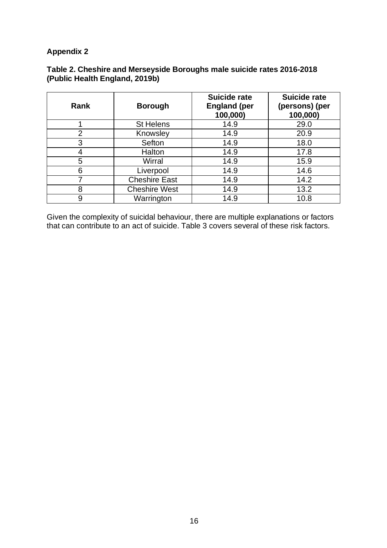#### **Table 2. Cheshire and Merseyside Boroughs male suicide rates 2016-2018 (Public Health England, 2019b)**

| Rank           | <b>Borough</b>       | <b>Suicide rate</b><br><b>England (per</b><br>100,000) | <b>Suicide rate</b><br>(persons) (per<br>100,000) |
|----------------|----------------------|--------------------------------------------------------|---------------------------------------------------|
|                | <b>St Helens</b>     | 14.9                                                   | 29.0                                              |
| $\overline{2}$ | Knowsley             | 14.9                                                   | 20.9                                              |
| 3              | Sefton               | 14.9                                                   | 18.0                                              |
| 4              | Halton               | 14.9                                                   | 17.8                                              |
| 5              | Wirral               | 14.9                                                   | 15.9                                              |
| 6              | Liverpool            | 14.9                                                   | 14.6                                              |
| 7              | <b>Cheshire East</b> | 14.9                                                   | 14.2                                              |
| 8              | <b>Cheshire West</b> | 14.9                                                   | 13.2                                              |
| 9              | Warrington           | 14.9                                                   | 10.8                                              |

Given the complexity of suicidal behaviour, there are multiple explanations or factors that can contribute to an act of suicide. Table 3 covers several of these risk factors.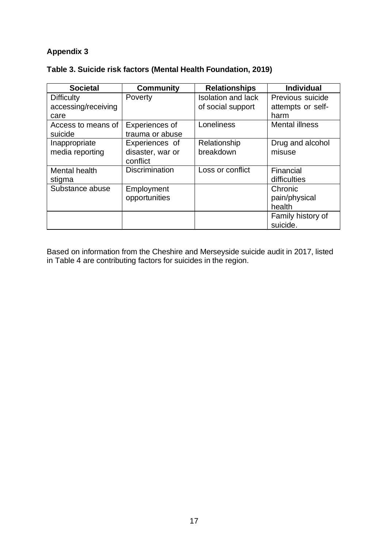| Table 3. Suicide risk factors (Mental Health Foundation, 2019) |  |  |
|----------------------------------------------------------------|--|--|
|----------------------------------------------------------------|--|--|

| <b>Societal</b>     | <b>Community</b>      | <b>Relationships</b>      | <b>Individual</b>     |
|---------------------|-----------------------|---------------------------|-----------------------|
| <b>Difficulty</b>   | Poverty               | <b>Isolation and lack</b> | Previous suicide      |
| accessing/receiving |                       | of social support         | attempts or self-     |
| care                |                       |                           | harm                  |
| Access to means of  | Experiences of        | Loneliness                | <b>Mental illness</b> |
| suicide             | trauma or abuse       |                           |                       |
| Inappropriate       | Experiences of        | Relationship              | Drug and alcohol      |
| media reporting     | disaster, war or      | breakdown                 | misuse                |
|                     | conflict              |                           |                       |
| Mental health       | <b>Discrimination</b> | Loss or conflict          | Financial             |
| stigma              |                       |                           | difficulties          |
| Substance abuse     | Employment            |                           | Chronic               |
|                     | opportunities         |                           | pain/physical         |
|                     |                       |                           | health                |
|                     |                       |                           | Family history of     |
|                     |                       |                           | suicide.              |

Based on information from the Cheshire and Merseyside suicide audit in 2017, listed in Table 4 are contributing factors for suicides in the region.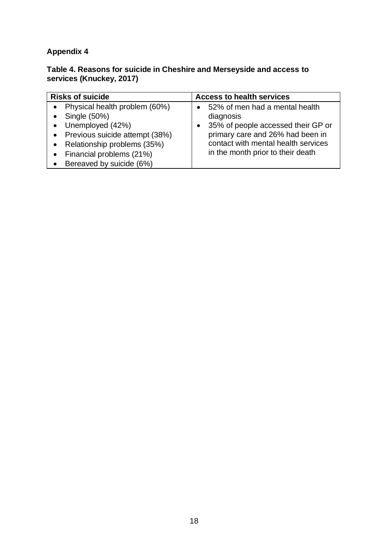#### **Table 4. Reasons for suicide in Cheshire and Merseyside and access to services (Knuckey, 2017)**

| <b>Risks of suicide</b>                                                                                                                                            | <b>Access to health services</b>                                                                                                                                                                  |  |  |
|--------------------------------------------------------------------------------------------------------------------------------------------------------------------|---------------------------------------------------------------------------------------------------------------------------------------------------------------------------------------------------|--|--|
| Physical health problem (60%)<br>Single (50%)<br>• Unemployed $(42%)$<br>Previous suicide attempt (38%)<br>Relationship problems (35%)<br>Financial problems (21%) | 52% of men had a mental health<br>diagnosis<br>35% of people accessed their GP or<br>primary care and 26% had been in<br>contact with mental health services<br>in the month prior to their death |  |  |
| Bereaved by suicide (6%)                                                                                                                                           |                                                                                                                                                                                                   |  |  |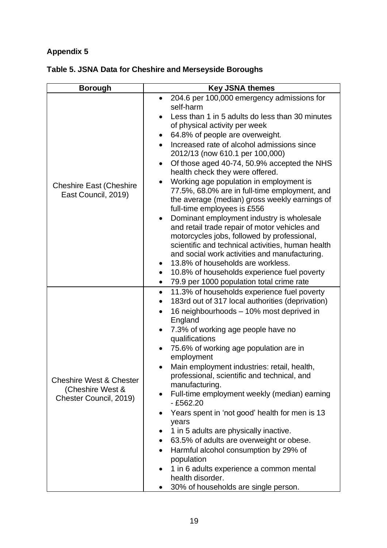| <b>Borough</b>                                                                   | <b>Key JSNA themes</b>                                                                                                                                                                                                                                                                                                                                                                                                                                                                                                                                                                                                                                                                                                                                                                                                                                                                                                                                                                                                                                                                     |  |  |  |
|----------------------------------------------------------------------------------|--------------------------------------------------------------------------------------------------------------------------------------------------------------------------------------------------------------------------------------------------------------------------------------------------------------------------------------------------------------------------------------------------------------------------------------------------------------------------------------------------------------------------------------------------------------------------------------------------------------------------------------------------------------------------------------------------------------------------------------------------------------------------------------------------------------------------------------------------------------------------------------------------------------------------------------------------------------------------------------------------------------------------------------------------------------------------------------------|--|--|--|
| <b>Cheshire East (Cheshire</b><br>East Council, 2019)                            | 204.6 per 100,000 emergency admissions for<br>$\bullet$<br>self-harm<br>Less than 1 in 5 adults do less than 30 minutes<br>$\bullet$<br>of physical activity per week<br>64.8% of people are overweight.<br>٠<br>Increased rate of alcohol admissions since<br>$\bullet$<br>2012/13 (now 610.1 per 100,000)<br>Of those aged 40-74, 50.9% accepted the NHS<br>$\bullet$<br>health check they were offered.<br>Working age population in employment is<br>77.5%, 68.0% are in full-time employment, and<br>the average (median) gross weekly earnings of<br>full-time employees is £556<br>Dominant employment industry is wholesale<br>$\bullet$<br>and retail trade repair of motor vehicles and<br>motorcycles jobs, followed by professional,<br>scientific and technical activities, human health<br>and social work activities and manufacturing.<br>13.8% of households are workless.<br>$\bullet$<br>10.8% of households experience fuel poverty<br>$\bullet$<br>79.9 per 1000 population total crime rate<br>$\bullet$<br>11.3% of households experience fuel poverty<br>$\bullet$ |  |  |  |
| <b>Cheshire West &amp; Chester</b><br>(Cheshire West &<br>Chester Council, 2019) | 183rd out of 317 local authorities (deprivation)<br>$\bullet$<br>16 neighbourhoods - 10% most deprived in<br>$\bullet$<br>England<br>7.3% of working age people have no<br>qualifications<br>75.6% of working age population are in<br>employment<br>Main employment industries: retail, health,<br>professional, scientific and technical, and<br>manufacturing.<br>Full-time employment weekly (median) earning<br>$-£562.20$<br>Years spent in 'not good' health for men is 13<br>years<br>1 in 5 adults are physically inactive.<br>63.5% of adults are overweight or obese.<br>$\bullet$<br>Harmful alcohol consumption by 29% of<br>$\bullet$<br>population<br>1 in 6 adults experience a common mental<br>$\bullet$<br>health disorder.<br>30% of households are single person.<br>$\bullet$                                                                                                                                                                                                                                                                                        |  |  |  |

## **Table 5. JSNA Data for Cheshire and Merseyside Boroughs**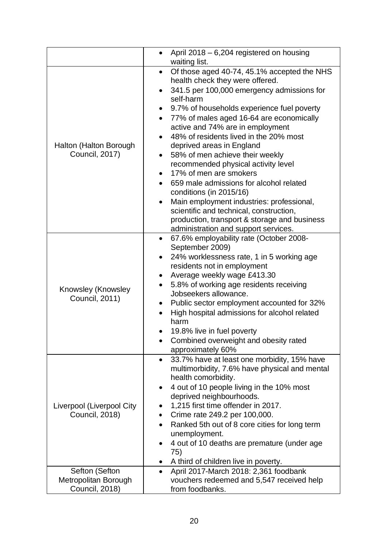|                                                          | April 2018 - 6,204 registered on housing<br>waiting list.                                                                                                                                                                                                                                                                                                                                                                                                                                                                                                                                                                                                                                                                          |
|----------------------------------------------------------|------------------------------------------------------------------------------------------------------------------------------------------------------------------------------------------------------------------------------------------------------------------------------------------------------------------------------------------------------------------------------------------------------------------------------------------------------------------------------------------------------------------------------------------------------------------------------------------------------------------------------------------------------------------------------------------------------------------------------------|
| Halton (Halton Borough<br><b>Council, 2017)</b>          | Of those aged 40-74, 45.1% accepted the NHS<br>$\bullet$<br>health check they were offered.<br>341.5 per 100,000 emergency admissions for<br>self-harm<br>9.7% of households experience fuel poverty<br>77% of males aged 16-64 are economically<br>$\bullet$<br>active and 74% are in employment<br>48% of residents lived in the 20% most<br>deprived areas in England<br>58% of men achieve their weekly<br>recommended physical activity level<br>17% of men are smokers<br>659 male admissions for alcohol related<br>conditions (in 2015/16)<br>Main employment industries: professional,<br>scientific and technical, construction,<br>production, transport & storage and business<br>administration and support services. |
| Knowsley (Knowsley<br><b>Council, 2011)</b>              | 67.6% employability rate (October 2008-<br>$\bullet$<br>September 2009)<br>24% worklessness rate, 1 in 5 working age<br>residents not in employment<br>Average weekly wage £413.30<br>5.8% of working age residents receiving<br>Jobseekers allowance.<br>Public sector employment accounted for 32%<br>High hospital admissions for alcohol related<br>harm<br>19.8% live in fuel poverty<br>Combined overweight and obesity rated<br>approximately 60%                                                                                                                                                                                                                                                                           |
| Liverpool (Liverpool City<br><b>Council, 2018)</b>       | 33.7% have at least one morbidity, 15% have<br>$\bullet$<br>multimorbidity, 7.6% have physical and mental<br>health comorbidity.<br>4 out of 10 people living in the 10% most<br>٠<br>deprived neighbourhoods.<br>1,215 first time offender in 2017.<br>Crime rate 249.2 per 100,000.<br>Ranked 5th out of 8 core cities for long term<br>unemployment.<br>4 out of 10 deaths are premature (under age<br>75)<br>A third of children live in poverty.                                                                                                                                                                                                                                                                              |
| Sefton (Sefton<br>Metropolitan Borough<br>Council, 2018) | April 2017-March 2018: 2,361 foodbank<br>$\bullet$<br>vouchers redeemed and 5,547 received help<br>from foodbanks.                                                                                                                                                                                                                                                                                                                                                                                                                                                                                                                                                                                                                 |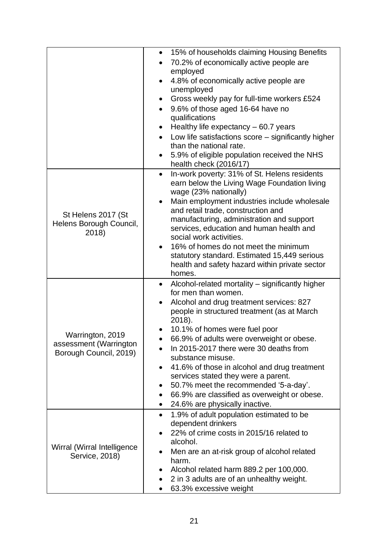|                                                                      | 15% of households claiming Housing Benefits<br>$\bullet$<br>70.2% of economically active people are<br>employed<br>4.8% of economically active people are<br>unemployed<br>Gross weekly pay for full-time workers £524<br>$\bullet$<br>9.6% of those aged 16-64 have no<br>$\bullet$<br>qualifications<br>Healthy life expectancy - 60.7 years<br>٠<br>Low life satisfactions score $-$ significantly higher<br>than the national rate.<br>5.9% of eligible population received the NHS<br>health check (2016/17)                                                                                    |
|----------------------------------------------------------------------|------------------------------------------------------------------------------------------------------------------------------------------------------------------------------------------------------------------------------------------------------------------------------------------------------------------------------------------------------------------------------------------------------------------------------------------------------------------------------------------------------------------------------------------------------------------------------------------------------|
| St Helens 2017 (St<br>Helens Borough Council,<br>2018)               | In-work poverty: 31% of St. Helens residents<br>$\bullet$<br>earn below the Living Wage Foundation living<br>wage (23% nationally)<br>Main employment industries include wholesale<br>$\bullet$<br>and retail trade, construction and<br>manufacturing, administration and support<br>services, education and human health and<br>social work activities.<br>16% of homes do not meet the minimum<br>$\bullet$<br>statutory standard. Estimated 15,449 serious<br>health and safety hazard within private sector<br>homes.                                                                           |
| Warrington, 2019<br>assessment (Warrington<br>Borough Council, 2019) | Alcohol-related mortality – significantly higher<br>$\bullet$<br>for men than women.<br>Alcohol and drug treatment services: 827<br>$\bullet$<br>people in structured treatment (as at March<br>2018).<br>10.1% of homes were fuel poor<br>66.9% of adults were overweight or obese.<br>In 2015-2017 there were 30 deaths from<br>substance misuse.<br>41.6% of those in alcohol and drug treatment<br>٠<br>services stated they were a parent.<br>50.7% meet the recommended '5-a-day'.<br>66.9% are classified as overweight or obese.<br>$\bullet$<br>24.6% are physically inactive.<br>$\bullet$ |
| Wirral (Wirral Intelligence<br>Service, 2018)                        | 1.9% of adult population estimated to be<br>$\bullet$<br>dependent drinkers<br>22% of crime costs in 2015/16 related to<br>alcohol.<br>Men are an at-risk group of alcohol related<br>harm.<br>Alcohol related harm 889.2 per 100,000.<br>2 in 3 adults are of an unhealthy weight.<br>63.3% excessive weight                                                                                                                                                                                                                                                                                        |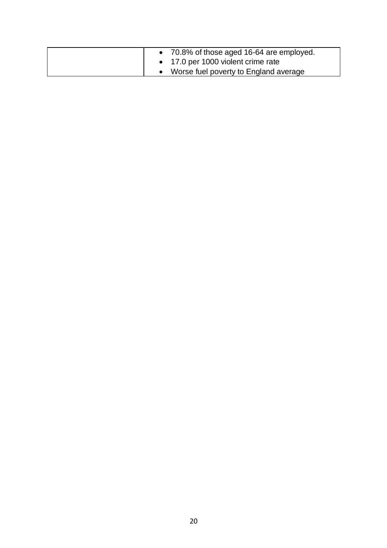| • 70.8% of those aged 16-64 are employed. |
|-------------------------------------------|
| • 17.0 per 1000 violent crime rate        |
| Worse fuel poverty to England average     |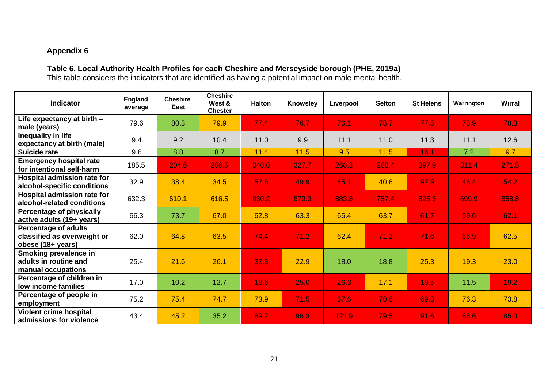#### **Table 6. Local Authority Health Profiles for each Cheshire and Merseyside borough (PHE, 2019a)**

This table considers the indicators that are identified as having a potential impact on male mental health.

| <b>Indicator</b>                                                                | <b>England</b><br>average | <b>Cheshire</b><br>East | <b>Cheshire</b><br>West &<br><b>Chester</b> | <b>Halton</b> | <b>Knowsley</b> | Liverpool | <b>Sefton</b> | <b>St Helens</b> | Warrington | <b>Wirral</b> |
|---------------------------------------------------------------------------------|---------------------------|-------------------------|---------------------------------------------|---------------|-----------------|-----------|---------------|------------------|------------|---------------|
| Life expectancy at birth -<br>male (years)                                      | 79.6                      | 80.3                    | 79.9                                        | 77.4          | 76.7            | 76.1      | 78.7          | 77.5             | 78.9       | 78.3          |
| Inequality in life<br>expectancy at birth (male)                                | 9.4                       | 9.2                     | 10.4                                        | 11.0          | 9.9             | 11.1      | 11.0          | 11.3             | 11.1       | 12.6          |
| Suicide rate                                                                    | 9.6                       | 8.8                     | 8.7                                         | 11.4          | 11.5            | 9.5       | 11.5          | 16.1             | 7.2        | 9.7           |
| <b>Emergency hospital rate</b><br>for intentional self-harm                     | 185.5                     | 204.6                   | 206.5                                       | 340.0         | 327.7           | 266.3     | 268.4         | 397.9            | 311.4      | 271.5         |
| <b>Hospital admission rate for</b><br>alcohol-specific conditions               | 32.9                      | 38.4                    | 34.5                                        | 57.6          | 49.9            | 45.1      | 40.6          | 97.9             | 46.4       | 54.2          |
| Hospital admission rate for<br>alcohol-related conditions                       | 632.3                     | 610.1                   | 616.5                                       | 830.2         | 879.9           | 883.8     | 757.4         | 825.3            | 699.9      | 858.8         |
| <b>Percentage of physically</b><br>active adults (19+ years)                    | 66.3                      | 73.7                    | 67.0                                        | 62.8          | 63.3            | 66.4      | 63.7          | 61.7             | 59.6       | 62.1          |
| <b>Percentage of adults</b><br>classified as overweight or<br>obese (18+ years) | 62.0                      | 64.8                    | 63.5                                        | 74.4          | 71.2            | 62.4      | 71.2          | 71.6             | 66.9       | 62.5          |
| Smoking prevalence in<br>adults in routine and<br>manual occupations            | 25.4                      | 21.6                    | 26.1                                        | 32.3          | 22.9            | 18.0      | 18.8          | 25.3             | 19.3       | 23.0          |
| Percentage of children in<br>low income families                                | 17.0                      | 10.2                    | 12.7                                        | 19.6          | 25.0            | 26.3      | 17.1          | 19.5             | 11.5       | 19.2          |
| Percentage of people in<br>employment                                           | 75.2                      | 75.4                    | 74.7                                        | 73.9          | 71.5            | 67.6      | 70.6          | 69.8             | 76.3       | 73.8          |
| <b>Violent crime hospital</b><br>admissions for violence                        | 43.4                      | 45.2                    | 35.2                                        | 89.2          | 96.3            | 121.9     | 79.5          | 91.6             | 68.6       | 85.0          |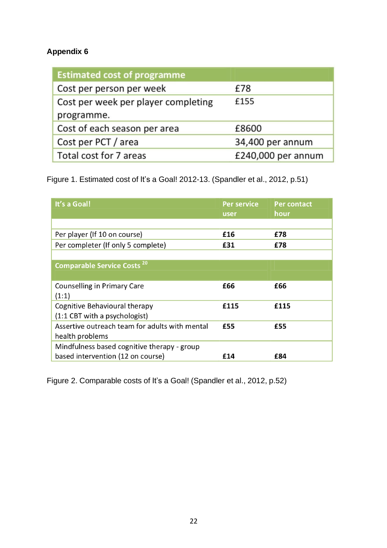| <b>Estimated cost of programme</b>  |                    |
|-------------------------------------|--------------------|
| Cost per person per week            | £78                |
| Cost per week per player completing | £155               |
| programme.                          |                    |
| Cost of each season per area        | £8600              |
| Cost per PCT / area                 | 34,400 per annum   |
| Total cost for 7 areas              | £240,000 per annum |

Figure 1. Estimated cost of It's a Goal! 2012-13. (Spandler et al., 2012, p.51)

| It's a Goal!                                   | <b>Per service</b><br>user | <b>Per contact</b><br>hour |
|------------------------------------------------|----------------------------|----------------------------|
|                                                |                            |                            |
| Per player (If 10 on course)                   | £16                        | £78                        |
| Per completer (If only 5 complete)             | £31                        | £78                        |
|                                                |                            |                            |
| <b>Comparable Service Costs<sup>20</sup></b>   |                            |                            |
|                                                |                            |                            |
| <b>Counselling in Primary Care</b>             | £66                        | £66                        |
| (1:1)                                          |                            |                            |
| Cognitive Behavioural therapy                  | £115                       | £115                       |
| (1:1 CBT with a psychologist)                  |                            |                            |
| Assertive outreach team for adults with mental | £55                        | £55                        |
| health problems                                |                            |                            |
| Mindfulness based cognitive therapy - group    |                            |                            |
| based intervention (12 on course)              | £14                        | £84                        |

Figure 2. Comparable costs of It's a Goal! (Spandler et al., 2012, p.52)